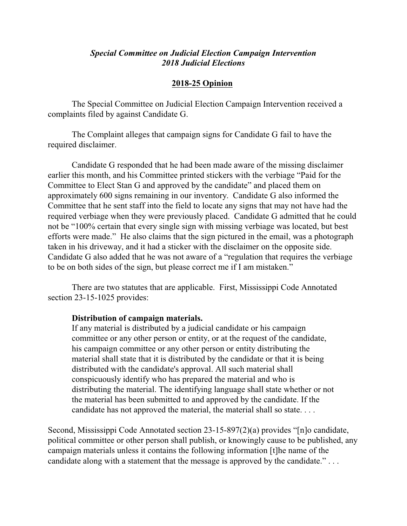## *Special Committee on Judicial Election Campaign Intervention 2018 Judicial Elections*

## **2018-25 Opinion**

The Special Committee on Judicial Election Campaign Intervention received a complaints filed by against Candidate G.

The Complaint alleges that campaign signs for Candidate G fail to have the required disclaimer.

Candidate G responded that he had been made aware of the missing disclaimer earlier this month, and his Committee printed stickers with the verbiage "Paid for the Committee to Elect Stan G and approved by the candidate" and placed them on approximately 600 signs remaining in our inventory. Candidate G also informed the Committee that he sent staff into the field to locate any signs that may not have had the required verbiage when they were previously placed. Candidate G admitted that he could not be "100% certain that every single sign with missing verbiage was located, but best efforts were made." He also claims that the sign pictured in the email, was a photograph taken in his driveway, and it had a sticker with the disclaimer on the opposite side. Candidate G also added that he was not aware of a "regulation that requires the verbiage to be on both sides of the sign, but please correct me if I am mistaken."

There are two statutes that are applicable. First, Mississippi Code Annotated section 23-15-1025 provides:

## **Distribution of campaign materials.**

If any material is distributed by a judicial candidate or his campaign committee or any other person or entity, or at the request of the candidate, his campaign committee or any other person or entity distributing the material shall state that it is distributed by the candidate or that it is being distributed with the candidate's approval. All such material shall conspicuously identify who has prepared the material and who is distributing the material. The identifying language shall state whether or not the material has been submitted to and approved by the candidate. If the candidate has not approved the material, the material shall so state. . . .

Second, Mississippi Code Annotated section 23-15-897(2)(a) provides "[n]o candidate, political committee or other person shall publish, or knowingly cause to be published, any campaign materials unless it contains the following information [t]he name of the candidate along with a statement that the message is approved by the candidate." . . .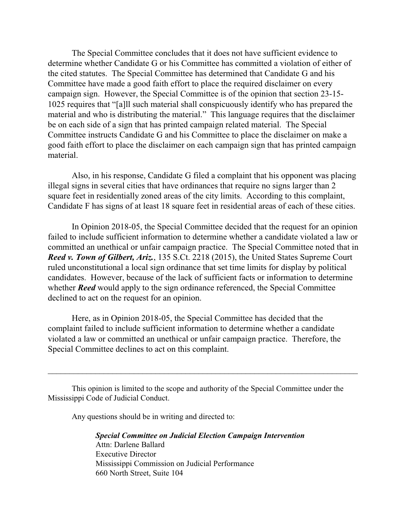The Special Committee concludes that it does not have sufficient evidence to determine whether Candidate G or his Committee has committed a violation of either of the cited statutes. The Special Committee has determined that Candidate G and his Committee have made a good faith effort to place the required disclaimer on every campaign sign. However, the Special Committee is of the opinion that section 23-15- 1025 requires that "[a]ll such material shall conspicuously identify who has prepared the material and who is distributing the material." This language requires that the disclaimer be on each side of a sign that has printed campaign related material. The Special Committee instructs Candidate G and his Committee to place the disclaimer on make a good faith effort to place the disclaimer on each campaign sign that has printed campaign material.

Also, in his response, Candidate G filed a complaint that his opponent was placing illegal signs in several cities that have ordinances that require no signs larger than 2 square feet in residentially zoned areas of the city limits. According to this complaint, Candidate F has signs of at least 18 square feet in residential areas of each of these cities.

In Opinion 2018-05, the Special Committee decided that the request for an opinion failed to include sufficient information to determine whether a candidate violated a law or committed an unethical or unfair campaign practice. The Special Committee noted that in *Reed v. Town of Gilbert, Ariz.*, 135 S.Ct. 2218 (2015), the United States Supreme Court ruled unconstitutional a local sign ordinance that set time limits for display by political candidates. However, because of the lack of sufficient facts or information to determine whether *Reed* would apply to the sign ordinance referenced, the Special Committee declined to act on the request for an opinion.

Here, as in Opinion 2018-05, the Special Committee has decided that the complaint failed to include sufficient information to determine whether a candidate violated a law or committed an unethical or unfair campaign practice. Therefore, the Special Committee declines to act on this complaint.

This opinion is limited to the scope and authority of the Special Committee under the Mississippi Code of Judicial Conduct.

 $\_$  , and the contribution of the contribution of  $\mathcal{L}_\mathcal{A}$  , and the contribution of  $\mathcal{L}_\mathcal{A}$ 

Any questions should be in writing and directed to:

*Special Committee on Judicial Election Campaign Intervention* Attn: Darlene Ballard Executive Director Mississippi Commission on Judicial Performance 660 North Street, Suite 104